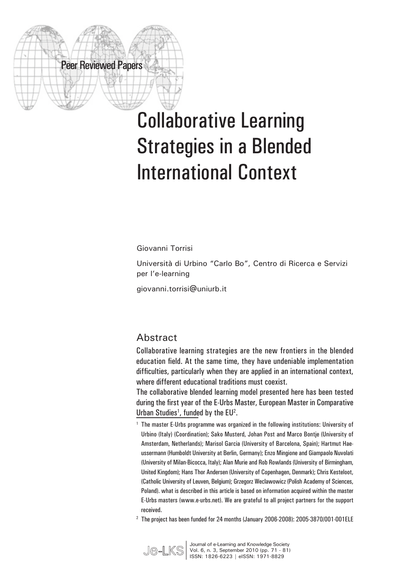# Collaborative Learning Strategies in a Blended International Context

Giovanni Torrisi

Peer Reviewed Papers

Università di Urbino "Carlo Bo", Centro di Ricerca e Servizi per l'e-learning

giovanni.torrisi@uniurb.it

#### **Abstract**

Collaborative learning strategies are the new frontiers in the blended education field. At the same time, they have undeniable implementation difficulties, particularly when they are applied in an international context, where different educational traditions must coexist.

The collaborative blended learning model presented here has been tested during the first year of the E-Urbs Master, European Master in Comparative Urban Studies<sup>1</sup>, funded by the EU<sup>2</sup>.

<sup>2</sup> The project has been funded for 24 months (January 2006-2008): 2005-3870/001-001ELE



Journal of e-Learning and Knowledge Society<br>
Vol. 6, n. 3, September 2010 (pp. 71 - 81)<br> **|** ISSN: 1826-6223 | eISSN: 1971-8829 ISSN: 1826-6223 | eISSN: 1971-8829

<sup>&</sup>lt;sup>1</sup> The master E-Urbs programme was organized in the following institutions: University of Urbino (Italy) (Coordination); Sako Musterd, Johan Post and Marco Bontje (University of Amsterdam, Netherlands); Marisol Garcia (University of Barcelona, Spain); Hartmut Haeussermann (Humboldt University at Berlin, Germany); Enzo Mingione and Giampaolo Nuvolati (University of Milan-Bicocca, Italy); Alan Murie and Rob Rowlands (University of Birmingham, United Kingdom); Hans Thor Andersen (University of Copenhagen, Denmark); Chris Kesteloot, (Catholic University of Leuven, Belgium); Grzegorz Weclawowicz (Polish Academy of Sciences, Poland). what is described in this article is based on information acquired within the master E-Urbs masters (www.e-urbs.net). We are grateful to all project partners for the support received.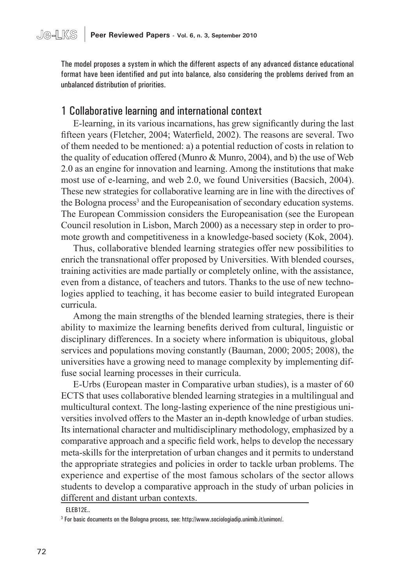The model proposes a system in which the different aspects of any advanced distance educational format have been identified and put into balance, also considering the problems derived from an unbalanced distribution of priorities.

#### 1 Collaborative learning and international context

E-learning, in its various incarnations, has grew significantly during the last fifteen years (Fletcher, 2004; Waterfield, 2002). The reasons are several. Two of them needed to be mentioned: a) a potential reduction of costs in relation to the quality of education offered (Munro & Munro, 2004), and b) the use of Web 2.0 as an engine for innovation and learning. Among the institutions that make most use of e-learning, and web 2.0, we found Universities (Bacsich, 2004). These new strategies for collaborative learning are in line with the directives of the Bologna process<sup>3</sup> and the Europeanisation of secondary education systems. The European Commission considers the Europeanisation (see the European Council resolution in Lisbon, March 2000) as a necessary step in order to promote growth and competitiveness in a knowledge-based society (Kok, 2004).

Thus, collaborative blended learning strategies offer new possibilities to enrich the transnational offer proposed by Universities. With blended courses, training activities are made partially or completely online, with the assistance, even from a distance, of teachers and tutors. Thanks to the use of new technologies applied to teaching, it has become easier to build integrated European curricula.

Among the main strengths of the blended learning strategies, there is their ability to maximize the learning benefits derived from cultural, linguistic or disciplinary differences. In a society where information is ubiquitous, global services and populations moving constantly (Bauman, 2000; 2005; 2008), the universities have a growing need to manage complexity by implementing diffuse social learning processes in their curricula.

E-Urbs (European master in Comparative urban studies), is a master of 60 ECTS that uses collaborative blended learning strategies in a multilingual and multicultural context. The long-lasting experience of the nine prestigious universities involved offers to the Master an in-depth knowledge of urban studies. Its international character and multidisciplinary methodology, emphasized by a comparative approach and a specific field work, helps to develop the necessary meta-skills for the interpretation of urban changes and it permits to understand the appropriate strategies and policies in order to tackle urban problems. The experience and expertise of the most famous scholars of the sector allows students to develop a comparative approach in the study of urban policies in different and distant urban contexts.

ELEB12E..

<sup>3</sup> For basic documents on the Bologna process, see: http://www.sociologiadip.unimib.it/unimon/.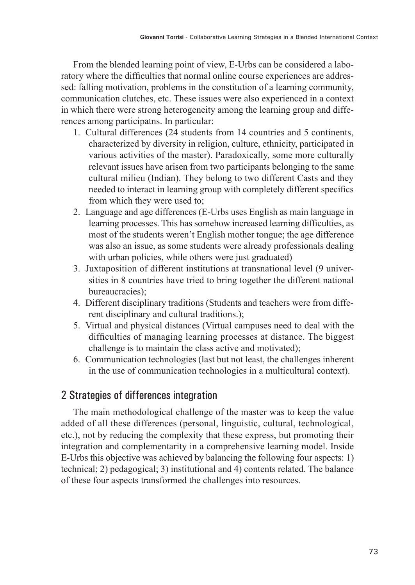From the blended learning point of view, E-Urbs can be considered a laboratory where the difficulties that normal online course experiences are addressed: falling motivation, problems in the constitution of a learning community, communication clutches, etc. These issues were also experienced in a context in which there were strong heterogeneity among the learning group and differences among participatns. In particular:

- 1. Cultural differences (24 students from 14 countries and 5 continents, characterized by diversity in religion, culture, ethnicity, participated in various activities of the master). Paradoxically, some more culturally relevant issues have arisen from two participants belonging to the same cultural milieu (Indian). They belong to two different Casts and they needed to interact in learning group with completely different specifics from which they were used to;
- 2. Language and age differences (E-Urbs uses English as main language in learning processes. This has somehow increased learning difficulties, as most of the students weren't English mother tongue; the age difference was also an issue, as some students were already professionals dealing with urban policies, while others were just graduated)
- 3. Juxtaposition of different institutions at transnational level (9 universities in 8 countries have tried to bring together the different national bureaucracies);
- 4. Different disciplinary traditions (Students and teachers were from different disciplinary and cultural traditions.);
- 5. Virtual and physical distances (Virtual campuses need to deal with the difficulties of managing learning processes at distance. The biggest challenge is to maintain the class active and motivated);
- 6. Communication technologies (last but not least, the challenges inherent in the use of communication technologies in a multicultural context).

### 2 Strategies of differences integration

The main methodological challenge of the master was to keep the value added of all these differences (personal, linguistic, cultural, technological, etc.), not by reducing the complexity that these express, but promoting their integration and complementarity in a comprehensive learning model. Inside E-Urbs this objective was achieved by balancing the following four aspects: 1) technical; 2) pedagogical; 3) institutional and 4) contents related. The balance of these four aspects transformed the challenges into resources.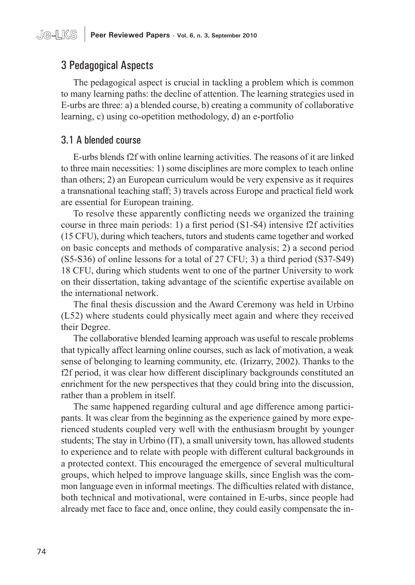## 3 Pedagogical Aspects

The pedagogical aspect is crucial in tackling a problem which is common to many learning paths: the decline of attention. The learning strategies used in E-urbs are three: a) a blended course, b) creating a community of collaborative learning, c) using co-opetition methodology, d) an e-portfolio

#### 3.1 A blended course

E-urbs blends f2f with online learning activities. The reasons of it are linked to three main necessities: 1) some disciplines are more complex to teach online than others; 2) an European curriculum would be very expensive as it requires a transnational teaching staff; 3) travels across Europe and practical field work are essential for European training.

To resolve these apparently conflicting needs we organized the training course in three main periods: 1) a first period (S1-S4) intensive f2f activities (15 CFU), during which teachers, tutors and students came together and worked on basic concepts and methods of comparative analysis; 2) a second period (S5-S36) of online lessons for a total of 27 CFU; 3) a third period (S37-S49) 18 CFU, during which students went to one of the partner University to work on their dissertation, taking advantage of the scientific expertise available on the international network.

The final thesis discussion and the Award Ceremony was held in Urbino (L52) where students could physically meet again and where they received their Degree.

The collaborative blended learning approach was useful to rescale problems that typically affect learning online courses, such as lack of motivation, a weak sense of belonging to learning community, etc. (Irizarry, 2002). Thanks to the f2f period, it was clear how different disciplinary backgrounds constituted an enrichment for the new perspectives that they could bring into the discussion, rather than a problem in itself.

The same happened regarding cultural and age difference among participants. It was clear from the beginning as the experience gained by more experienced students coupled very well with the enthusiasm brought by younger students; The stay in Urbino (IT), a small university town, has allowed students to experience and to relate with people with different cultural backgrounds in a protected context. This encouraged the emergence of several multicultural groups, which helped to improve language skills, since English was the common language even in informal meetings. The difficulties related with distance, both technical and motivational, were contained in E-urbs, since people had already met face to face and, once online, they could easily compensate the in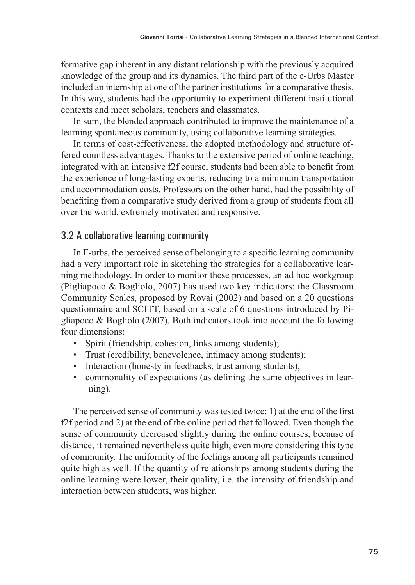formative gap inherent in any distant relationship with the previously acquired knowledge of the group and its dynamics. The third part of the e-Urbs Master included an internship at one of the partner institutions for a comparative thesis. In this way, students had the opportunity to experiment different institutional contexts and meet scholars, teachers and classmates.

In sum, the blended approach contributed to improve the maintenance of a learning spontaneous community, using collaborative learning strategies.

In terms of cost-effectiveness, the adopted methodology and structure offered countless advantages. Thanks to the extensive period of online teaching, integrated with an intensive f2f course, students had been able to benefit from the experience of long-lasting experts, reducing to a minimum transportation and accommodation costs. Professors on the other hand, had the possibility of benefiting from a comparative study derived from a group of students from all over the world, extremely motivated and responsive.

#### 3.2 A collaborative learning community

In E-urbs, the perceived sense of belonging to a specific learning community had a very important role in sketching the strategies for a collaborative learning methodology. In order to monitor these processes, an ad hoc workgroup (Pigliapoco & Bogliolo, 2007) has used two key indicators: the Classroom Community Scales, proposed by Rovai (2002) and based on a 20 questions questionnaire and SCITT, based on a scale of 6 questions introduced by Pigliapoco & Bogliolo (2007). Both indicators took into account the following four dimensions:

- Spirit (friendship, cohesion, links among students);
- Trust (credibility, benevolence, intimacy among students);
- Interaction (honesty in feedbacks, trust among students);
- commonality of expectations (as defining the same objectives in learning).

The perceived sense of community was tested twice: 1) at the end of the first f2f period and 2) at the end of the online period that followed. Even though the sense of community decreased slightly during the online courses, because of distance, it remained nevertheless quite high, even more considering this type of community. The uniformity of the feelings among all participants remained quite high as well. If the quantity of relationships among students during the online learning were lower, their quality, i.e. the intensity of friendship and interaction between students, was higher.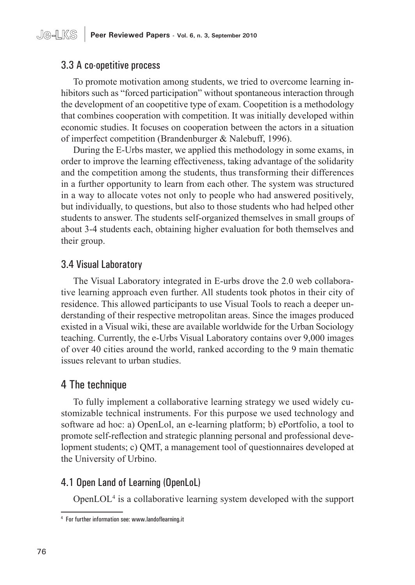#### 3.3 A co-opetitive process

To promote motivation among students, we tried to overcome learning inhibitors such as "forced participation" without spontaneous interaction through the development of an coopetitive type of exam. Coopetition is a methodology that combines cooperation with competition. It was initially developed within economic studies. It focuses on cooperation between the actors in a situation of imperfect competition (Brandenburger & Nalebuff, 1996).

During the E-Urbs master, we applied this methodology in some exams, in order to improve the learning effectiveness, taking advantage of the solidarity and the competition among the students, thus transforming their differences in a further opportunity to learn from each other. The system was structured in a way to allocate votes not only to people who had answered positively, but individually, to questions, but also to those students who had helped other students to answer. The students self-organized themselves in small groups of about 3-4 students each, obtaining higher evaluation for both themselves and their group.

#### 3.4 Visual Laboratory

The Visual Laboratory integrated in E-urbs drove the 2.0 web collaborative learning approach even further. All students took photos in their city of residence. This allowed participants to use Visual Tools to reach a deeper understanding of their respective metropolitan areas. Since the images produced existed in a Visual wiki, these are available worldwide for the Urban Sociology teaching. Currently, the e-Urbs Visual Laboratory contains over 9,000 images of over 40 cities around the world, ranked according to the 9 main thematic issues relevant to urban studies.

#### 4 The technique

To fully implement a collaborative learning strategy we used widely customizable technical instruments. For this purpose we used technology and software ad hoc: a) OpenLol, an e-learning platform; b) ePortfolio, a tool to promote self-reflection and strategic planning personal and professional development students; c) QMT, a management tool of questionnaires developed at the University of Urbino.

#### 4.1 Open Land of Learning (OpenLoL)

OpenLOL4 is a collaborative learning system developed with the support

<sup>4</sup> For further information see: www.landoflearning.it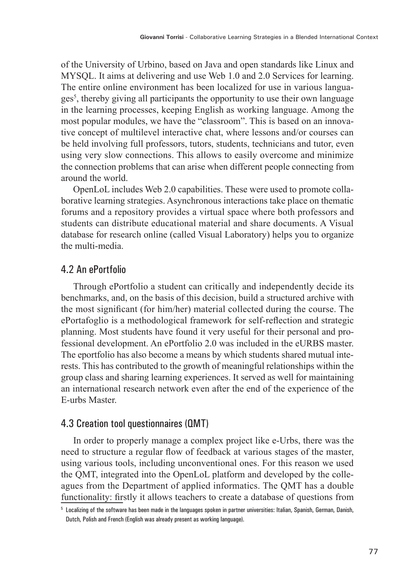of the University of Urbino, based on Java and open standards like Linux and MYSQL. It aims at delivering and use Web 1.0 and 2.0 Services for learning. The entire online environment has been localized for use in various languages<sup>5</sup> , thereby giving all participants the opportunity to use their own language in the learning processes, keeping English as working language. Among the most popular modules, we have the "classroom". This is based on an innovative concept of multilevel interactive chat, where lessons and/or courses can be held involving full professors, tutors, students, technicians and tutor, even using very slow connections. This allows to easily overcome and minimize the connection problems that can arise when different people connecting from around the world.

OpenLoL includes Web 2.0 capabilities. These were used to promote collaborative learning strategies. Asynchronous interactions take place on thematic forums and a repository provides a virtual space where both professors and students can distribute educational material and share documents. A Visual database for research online (called Visual Laboratory) helps you to organize the multi-media.

#### 4.2 An ePortfolio

Through ePortfolio a student can critically and independently decide its benchmarks, and, on the basis of this decision, build a structured archive with the most significant (for him/her) material collected during the course. The ePortafoglio is a methodological framework for self-reflection and strategic planning. Most students have found it very useful for their personal and professional development. An ePortfolio 2.0 was included in the eURBS master. The eportfolio has also become a means by which students shared mutual interests. This has contributed to the growth of meaningful relationships within the group class and sharing learning experiences. It served as well for maintaining an international research network even after the end of the experience of the E-urbs Master.

#### 4.3 Creation tool questionnaires (QMT)

In order to properly manage a complex project like e-Urbs, there was the need to structure a regular flow of feedback at various stages of the master, using various tools, including unconventional ones. For this reason we used the QMT, integrated into the OpenLoL platform and developed by the colleagues from the Department of applied informatics. The QMT has a double functionality: firstly it allows teachers to create a database of questions from

<sup>5</sup> Localizing of the software has been made in the languages spoken in partner universities: Italian, Spanish, German, Danish, Dutch, Polish and French (English was already present as working language).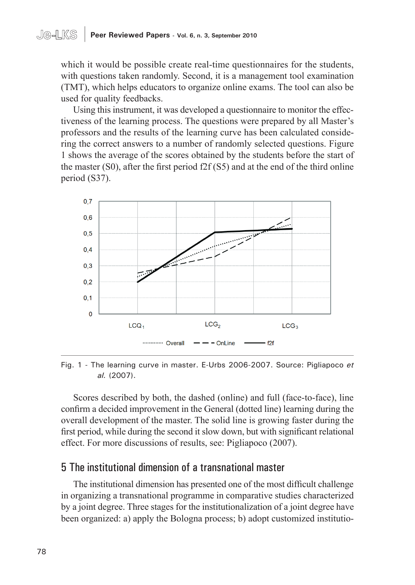#### **Je-LKS** | **Peer Reviewed Papers - Vol. 6, n. 3, September 2010**

which it would be possible create real-time questionnaires for the students, with questions taken randomly. Second, it is a management tool examination (TMT), which helps educators to organize online exams. The tool can also be used for quality feedbacks.

Using this instrument, it was developed a questionnaire to monitor the effectiveness of the learning process. The questions were prepared by all Master's professors and the results of the learning curve has been calculated considering the correct answers to a number of randomly selected questions. Figure 1 shows the average of the scores obtained by the students before the start of the master (S0), after the first period f2f (S5) and at the end of the third online period (S37).



Fig. 1 - The learning curve in master. E-Urbs 2006-2007. Source: Pigliapoco *et al.* (2007).

Scores described by both, the dashed (online) and full (face-to-face), line confirm a decided improvement in the General (dotted line) learning during the overall development of the master. The solid line is growing faster during the first period, while during the second it slow down, but with significant relational effect. For more discussions of results, see: Pigliapoco (2007).

#### 5 The institutional dimension of a transnational master

The institutional dimension has presented one of the most difficult challenge in organizing a transnational programme in comparative studies characterized by a joint degree. Three stages for the institutionalization of a joint degree have been organized: a) apply the Bologna process; b) adopt customized institutio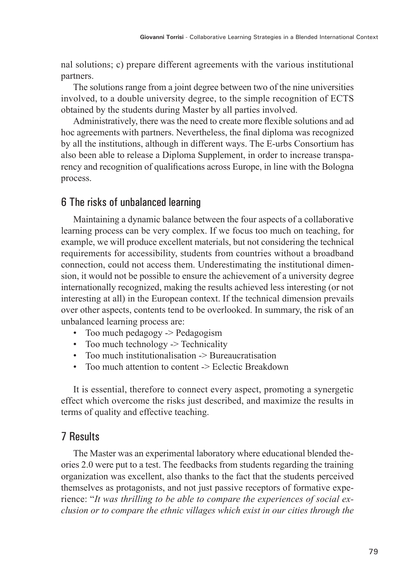nal solutions; c) prepare different agreements with the various institutional partners.

The solutions range from a joint degree between two of the nine universities involved, to a double university degree, to the simple recognition of ECTS obtained by the students during Master by all parties involved.

Administratively, there was the need to create more flexible solutions and ad hoc agreements with partners. Nevertheless, the final diploma was recognized by all the institutions, although in different ways. The E-urbs Consortium has also been able to release a Diploma Supplement, in order to increase transparency and recognition of qualifications across Europe, in line with the Bologna process.

#### 6 The risks of unbalanced learning

Maintaining a dynamic balance between the four aspects of a collaborative learning process can be very complex. If we focus too much on teaching, for example, we will produce excellent materials, but not considering the technical requirements for accessibility, students from countries without a broadband connection, could not access them. Underestimating the institutional dimension, it would not be possible to ensure the achievement of a university degree internationally recognized, making the results achieved less interesting (or not interesting at all) in the European context. If the technical dimension prevails over other aspects, contents tend to be overlooked. In summary, the risk of an unbalanced learning process are:

- Too much pedagogy -> Pedagogism
- Too much technology -> Technicality
- Too much institutionalisation -> Bureaucratisation
- Too much attention to content -> Eclectic Breakdown

It is essential, therefore to connect every aspect, promoting a synergetic effect which overcome the risks just described, and maximize the results in terms of quality and effective teaching.

#### 7 Results

The Master was an experimental laboratory where educational blended theories 2.0 were put to a test. The feedbacks from students regarding the training organization was excellent, also thanks to the fact that the students perceived themselves as protagonists, and not just passive receptors of formative experience: "*It was thrilling to be able to compare the experiences of social exclusion or to compare the ethnic villages which exist in our cities through the*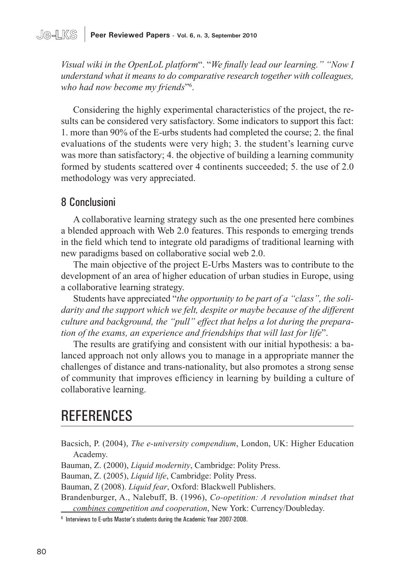#### **Je-LKS** | **Peer Reviewed Papers - Vol. 6, n. 3, September 2010**

*Visual wiki in the OpenLoL platform*". "*We finally lead our learning." "Now I understand what it means to do comparative research together with colleagues, who had now become my friends*"6 .

Considering the highly experimental characteristics of the project, the results can be considered very satisfactory. Some indicators to support this fact: 1. more than 90% of the E-urbs students had completed the course; 2. the final evaluations of the students were very high; 3. the student's learning curve was more than satisfactory; 4. the objective of building a learning community formed by students scattered over 4 continents succeeded; 5. the use of 2.0 methodology was very appreciated.

#### 8 Conclusioni

A collaborative learning strategy such as the one presented here combines a blended approach with Web 2.0 features. This responds to emerging trends in the field which tend to integrate old paradigms of traditional learning with new paradigms based on collaborative social web 2.0.

The main objective of the project E-Urbs Masters was to contribute to the development of an area of higher education of urban studies in Europe, using a collaborative learning strategy.

Students have appreciated "*the opportunity to be part of a "class", the solidarity and the support which we felt, despite or maybe because of the different culture and background, the "pull" effect that helps a lot during the preparation of the exams, an experience and friendships that will last for life*".

The results are gratifying and consistent with our initial hypothesis: a balanced approach not only allows you to manage in a appropriate manner the challenges of distance and trans-nationality, but also promotes a strong sense of community that improves efficiency in learning by building a culture of collaborative learning.

## **REFERENCES**

Bacsich, P. (2004), *The e-university compendium*, London, UK: Higher Education Academy.

Bauman, Z. (2000), *Liquid modernity*, Cambridge: Polity Press.

Bauman, Z. (2005), *Liquid life*, Cambridge: Polity Press.

Bauman, Z (2008). *Liquid fear*, Oxford: Blackwell Publishers.

Brandenburger, A., Nalebuff, B. (1996), *Co-opetition: A revolution mindset that combines competition and cooperation*, New York: Currency/Doubleday.

<sup>6</sup> Interviews to E-urbs Master's students during the Academic Year 2007-2008.